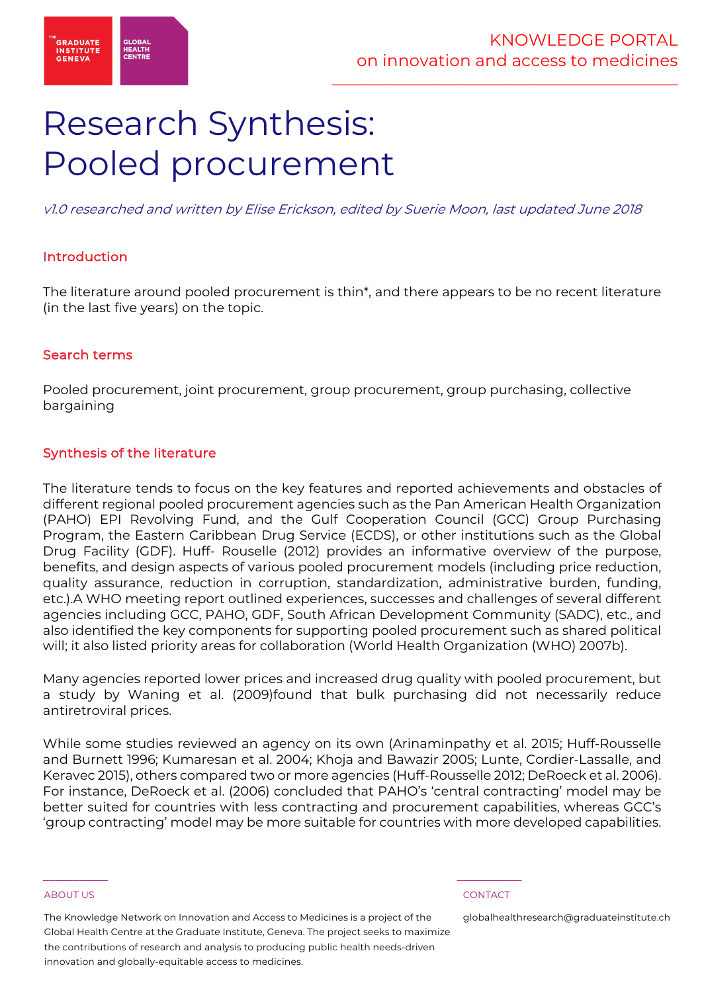

# Research Synthesis: Pooled procurement

v1.0 researched and written by Elise Erickson, edited by Suerie Moon, last updated June 2018

# Introduction

The literature around pooled procurement is thin\*, and there appears to be no recent literature (in the last five years) on the topic.

# Search terms

Pooled procurement, joint procurement, group procurement, group purchasing, collective bargaining

# Synthesis of the literature

The literature tends to focus on the key features and reported achievements and obstacles of different regional pooled procurement agencies such as the Pan American Health Organization (PAHO) EPI Revolving Fund, and the Gulf Cooperation Council (GCC) Group Purchasing Program, the Eastern Caribbean Drug Service (ECDS), or other institutions such as the Global Drug Facility (GDF). Huff- Rouselle (2012) provides an informative overview of the purpose, benefits, and design aspects of various pooled procurement models (including price reduction, quality assurance, reduction in corruption, standardization, administrative burden, funding, etc.).A WHO meeting report outlined experiences, successes and challenges of several different agencies including GCC, PAHO, GDF, South African Development Community (SADC), etc., and also identified the key components for supporting pooled procurement such as shared political will; it also listed priority areas for collaboration (World Health Organization (WHO) 2007b).

Many agencies reported lower prices and increased drug quality with pooled procurement, but a study by Waning et al. (2009)found that bulk purchasing did not necessarily reduce antiretroviral prices.

While some studies reviewed an agency on its own (Arinaminpathy et al. 2015; Huff-Rousselle and Burnett 1996; Kumaresan et al. 2004; Khoja and Bawazir 2005; Lunte, Cordier-Lassalle, and Keravec 2015), others compared two or more agencies (Huff-Rousselle 2012; DeRoeck et al. 2006). For instance, DeRoeck et al. (2006) concluded that PAHO's 'central contracting' model may be better suited for countries with less contracting and procurement capabilities, whereas GCC's 'group contracting' model may be more suitable for countries with more developed capabilities.

### ABOUT US CONTACT AND RESERVE THE RELEASE OF THE RELEASE OF THE RELEASE OF THE RELEASE OF THE RELEASE OF THE RELEASE OF THE RELEASE OF THE RELEASE OF THE RELEASE OF THE RELEASE OF THE RELEASE OF THE RELEASE OF THE RELEASE O

The Knowledge Network on Innovation and Access to Medicines is a project of the Global Health Centre at the Graduate Institute, Geneva. The project seeks to maximize the contributions of research and analysis to producing public health needs-driven innovation and globally-equitable access to medicines.

 $\frac{1}{2}$  , and the set of the set of the set of the set of the set of the set of the set of the set of the set of the set of the set of the set of the set of the set of the set of the set of the set of the set of the set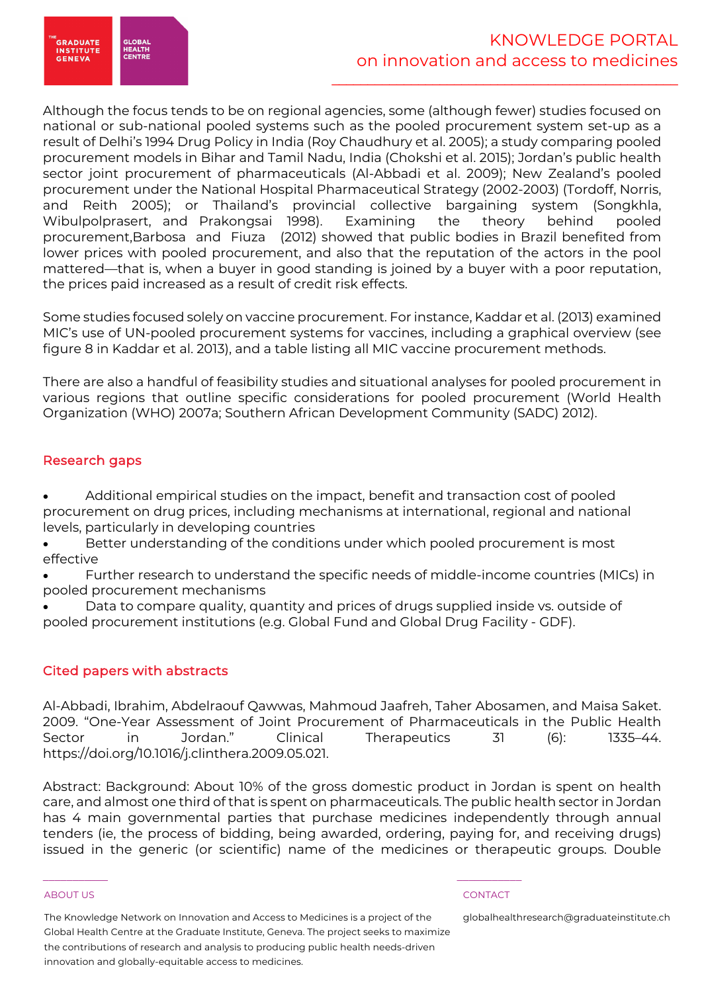

Although the focus tends to be on regional agencies, some (although fewer) studies focused on national or sub-national pooled systems such as the pooled procurement system set-up as a result of Delhi's 1994 Drug Policy in India (Roy Chaudhury et al. 2005); a study comparing pooled procurement models in Bihar and Tamil Nadu, India (Chokshi et al. 2015); Jordan's public health sector joint procurement of pharmaceuticals (Al-Abbadi et al. 2009); New Zealand's pooled procurement under the National Hospital Pharmaceutical Strategy (2002-2003) (Tordoff, Norris, and Reith 2005); or Thailand's provincial collective bargaining system (Songkhla, Wibulpolprasert, and Prakongsai 1998). Examining the theory behind pooled procurement,Barbosa and Fiuza (2012) showed that public bodies in Brazil benefited from lower prices with pooled procurement, and also that the reputation of the actors in the pool mattered—that is, when a buyer in good standing is joined by a buyer with a poor reputation, the prices paid increased as a result of credit risk effects.

Some studies focused solely on vaccine procurement. For instance, Kaddar et al. (2013) examined MIC's use of UN-pooled procurement systems for vaccines, including a graphical overview (see figure 8 in Kaddar et al. 2013), and a table listing all MIC vaccine procurement methods.

There are also a handful of feasibility studies and situational analyses for pooled procurement in various regions that outline specific considerations for pooled procurement (World Health Organization (WHO) 2007a; Southern African Development Community (SADC) 2012).

# Research gaps

• Additional empirical studies on the impact, benefit and transaction cost of pooled procurement on drug prices, including mechanisms at international, regional and national levels, particularly in developing countries

Better understanding of the conditions under which pooled procurement is most effective

• Further research to understand the specific needs of middle-income countries (MICs) in pooled procurement mechanisms

• Data to compare quality, quantity and prices of drugs supplied inside vs. outside of pooled procurement institutions (e.g. Global Fund and Global Drug Facility - GDF).

# Cited papers with abstracts

Al-Abbadi, Ibrahim, Abdelraouf Qawwas, Mahmoud Jaafreh, Taher Abosamen, and Maisa Saket. 2009. "One-Year Assessment of Joint Procurement of Pharmaceuticals in the Public Health Sector in Jordan." Clinical Therapeutics 31 (6): 1335–44. https://doi.org/10.1016/j.clinthera.2009.05.021.

Abstract: Background: About 10% of the gross domestic product in Jordan is spent on health care, and almost one third of that is spent on pharmaceuticals. The public health sector in Jordan has 4 main governmental parties that purchase medicines independently through annual tenders (ie, the process of bidding, being awarded, ordering, paying for, and receiving drugs) issued in the generic (or scientific) name of the medicines or therapeutic groups. Double

### ABOUT US CONTACT AND RESERVE THE RELEASE OF THE RELEASE OF THE RELEASE OF THE RELEASE OF THE RELEASE OF THE RELEASE OF THE RELEASE OF THE RELEASE OF THE RELEASE OF THE RELEASE OF THE RELEASE OF THE RELEASE OF THE RELEASE O

The Knowledge Network on Innovation and Access to Medicines is a project of the Global Health Centre at the Graduate Institute, Geneva. The project seeks to maximize the contributions of research and analysis to producing public health needs-driven innovation and globally-equitable access to medicines.

 $\frac{1}{2}$  , and the set of the set of the set of the set of the set of the set of the set of the set of the set of the set of the set of the set of the set of the set of the set of the set of the set of the set of the set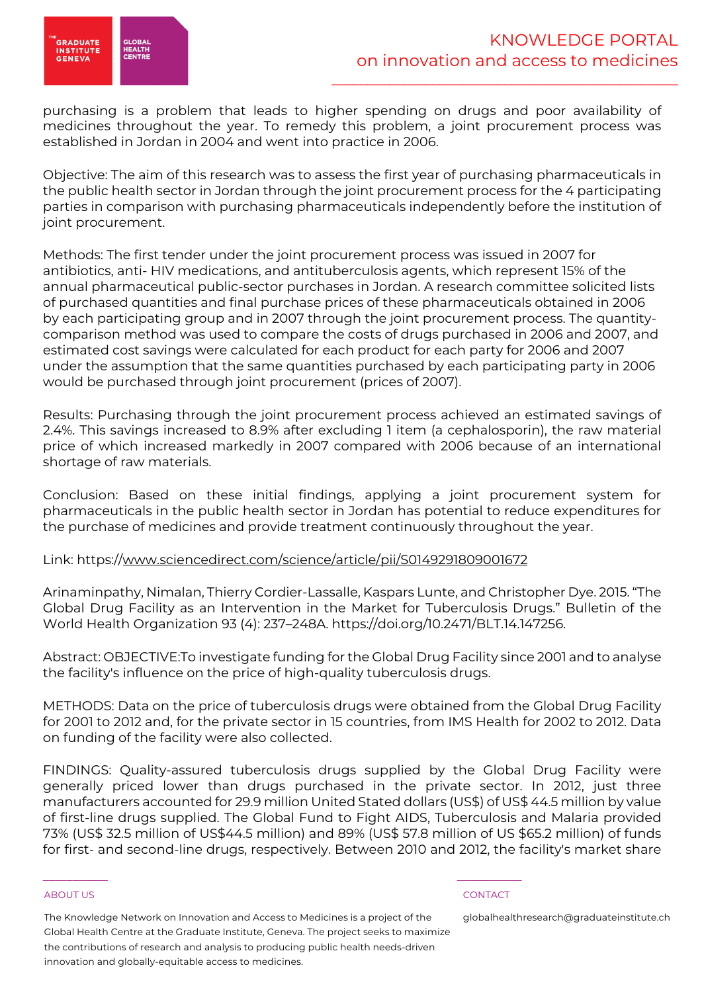

purchasing is a problem that leads to higher spending on drugs and poor availability of medicines throughout the year. To remedy this problem, a joint procurement process was established in Jordan in 2004 and went into practice in 2006.

Objective: The aim of this research was to assess the first year of purchasing pharmaceuticals in the public health sector in Jordan through the joint procurement process for the 4 participating parties in comparison with purchasing pharmaceuticals independently before the institution of joint procurement.

Methods: The first tender under the joint procurement process was issued in 2007 for antibiotics, anti- HIV medications, and antituberculosis agents, which represent 15% of the annual pharmaceutical public-sector purchases in Jordan. A research committee solicited lists of purchased quantities and final purchase prices of these pharmaceuticals obtained in 2006 by each participating group and in 2007 through the joint procurement process. The quantitycomparison method was used to compare the costs of drugs purchased in 2006 and 2007, and estimated cost savings were calculated for each product for each party for 2006 and 2007 under the assumption that the same quantities purchased by each participating party in 2006 would be purchased through joint procurement (prices of 2007).

Results: Purchasing through the joint procurement process achieved an estimated savings of 2.4%. This savings increased to 8.9% after excluding 1 item (a cephalosporin), the raw material price of which increased markedly in 2007 compared with 2006 because of an international shortage of raw materials.

Conclusion: Based on these initial findings, applying a joint procurement system for pharmaceuticals in the public health sector in Jordan has potential to reduce expenditures for the purchase of medicines and provide treatment continuously throughout the year.

# Link: https://www.sciencedirect.com/science/article/pii/S0149291809001672

Arinaminpathy, Nimalan, Thierry Cordier-Lassalle, Kaspars Lunte, and Christopher Dye. 2015. "The Global Drug Facility as an Intervention in the Market for Tuberculosis Drugs." Bulletin of the World Health Organization 93 (4): 237–248A. https://doi.org/10.2471/BLT.14.147256.

Abstract: OBJECTIVE:To investigate funding for the Global Drug Facility since 2001 and to analyse the facility's influence on the price of high-quality tuberculosis drugs.

METHODS: Data on the price of tuberculosis drugs were obtained from the Global Drug Facility for 2001 to 2012 and, for the private sector in 15 countries, from IMS Health for 2002 to 2012. Data on funding of the facility were also collected.

FINDINGS: Quality-assured tuberculosis drugs supplied by the Global Drug Facility were generally priced lower than drugs purchased in the private sector. In 2012, just three manufacturers accounted for 29.9 million United Stated dollars (US\$) of US\$ 44.5 million by value of first-line drugs supplied. The Global Fund to Fight AIDS, Tuberculosis and Malaria provided 73% (US\$ 32.5 million of US\$44.5 million) and 89% (US\$ 57.8 million of US \$65.2 million) of funds for first- and second-line drugs, respectively. Between 2010 and 2012, the facility's market share

### ABOUT US CONTACT AND RESERVE THE RELEASE OF THE RELEASE OF THE RELEASE OF THE RELEASE OF THE RELEASE OF THE RELEASE OF THE RELEASE OF THE RELEASE OF THE RELEASE OF THE RELEASE OF THE RELEASE OF THE RELEASE OF THE RELEASE O

The Knowledge Network on Innovation and Access to Medicines is a project of the Global Health Centre at the Graduate Institute, Geneva. The project seeks to maximize the contributions of research and analysis to producing public health needs-driven innovation and globally-equitable access to medicines.

 $\frac{1}{2}$  , and the set of the set of the set of the set of the set of the set of the set of the set of the set of the set of the set of the set of the set of the set of the set of the set of the set of the set of the set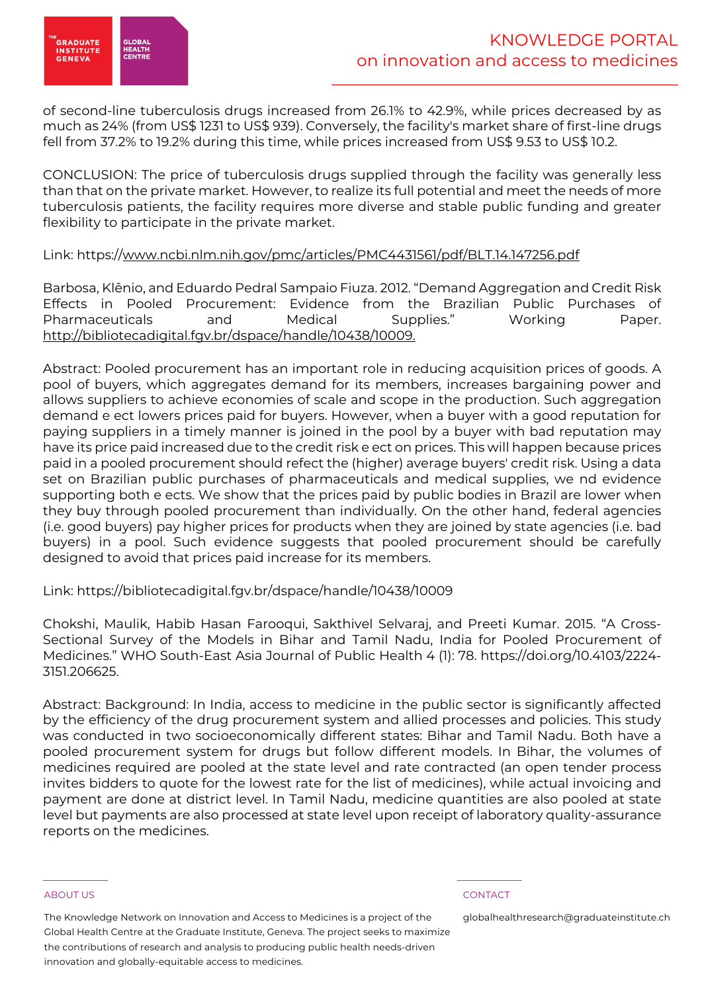

of second-line tuberculosis drugs increased from 26.1% to 42.9%, while prices decreased by as much as 24% (from US\$ 1231 to US\$ 939). Conversely, the facility's market share of first-line drugs fell from 37.2% to 19.2% during this time, while prices increased from US\$ 9.53 to US\$ 10.2.

CONCLUSION: The price of tuberculosis drugs supplied through the facility was generally less than that on the private market. However, to realize its full potential and meet the needs of more tuberculosis patients, the facility requires more diverse and stable public funding and greater flexibility to participate in the private market.

# Link: https://www.ncbi.nlm.nih.gov/pmc/articles/PMC4431561/pdf/BLT.14.147256.pdf

Barbosa, Klênio, and Eduardo Pedral Sampaio Fiuza. 2012. "Demand Aggregation and Credit Risk Effects in Pooled Procurement: Evidence from the Brazilian Public Purchases of Pharmaceuticals and Medical Supplies." Working Paper. http://bibliotecadigital.fgv.br/dspace/handle/10438/10009.

Abstract: Pooled procurement has an important role in reducing acquisition prices of goods. A pool of buyers, which aggregates demand for its members, increases bargaining power and allows suppliers to achieve economies of scale and scope in the production. Such aggregation demand e ect lowers prices paid for buyers. However, when a buyer with a good reputation for paying suppliers in a timely manner is joined in the pool by a buyer with bad reputation may have its price paid increased due to the credit risk e ect on prices. This will happen because prices paid in a pooled procurement should refect the (higher) average buyers' credit risk. Using a data set on Brazilian public purchases of pharmaceuticals and medical supplies, we nd evidence supporting both e ects. We show that the prices paid by public bodies in Brazil are lower when they buy through pooled procurement than individually. On the other hand, federal agencies (i.e. good buyers) pay higher prices for products when they are joined by state agencies (i.e. bad buyers) in a pool. Such evidence suggests that pooled procurement should be carefully designed to avoid that prices paid increase for its members.

# Link: https://bibliotecadigital.fgv.br/dspace/handle/10438/10009

Chokshi, Maulik, Habib Hasan Farooqui, Sakthivel Selvaraj, and Preeti Kumar. 2015. "A Cross-Sectional Survey of the Models in Bihar and Tamil Nadu, India for Pooled Procurement of Medicines." WHO South-East Asia Journal of Public Health 4 (1): 78. https://doi.org/10.4103/2224- 3151.206625.

Abstract: Background: In India, access to medicine in the public sector is significantly affected by the efficiency of the drug procurement system and allied processes and policies. This study was conducted in two socioeconomically different states: Bihar and Tamil Nadu. Both have a pooled procurement system for drugs but follow different models. In Bihar, the volumes of medicines required are pooled at the state level and rate contracted (an open tender process invites bidders to quote for the lowest rate for the list of medicines), while actual invoicing and payment are done at district level. In Tamil Nadu, medicine quantities are also pooled at state level but payments are also processed at state level upon receipt of laboratory quality-assurance reports on the medicines.

### ABOUT US CONTACT AND RESERVE THE RELEASE OF THE RELEASE OF THE RELEASE OF THE RELEASE OF THE RELEASE OF THE RELEASE OF THE RELEASE OF THE RELEASE OF THE RELEASE OF THE RELEASE OF THE RELEASE OF THE RELEASE OF THE RELEASE O

The Knowledge Network on Innovation and Access to Medicines is a project of the Global Health Centre at the Graduate Institute, Geneva. The project seeks to maximize the contributions of research and analysis to producing public health needs-driven innovation and globally-equitable access to medicines.

 $\frac{1}{2}$  , and the set of the set of the set of the set of the set of the set of the set of the set of the set of the set of the set of the set of the set of the set of the set of the set of the set of the set of the set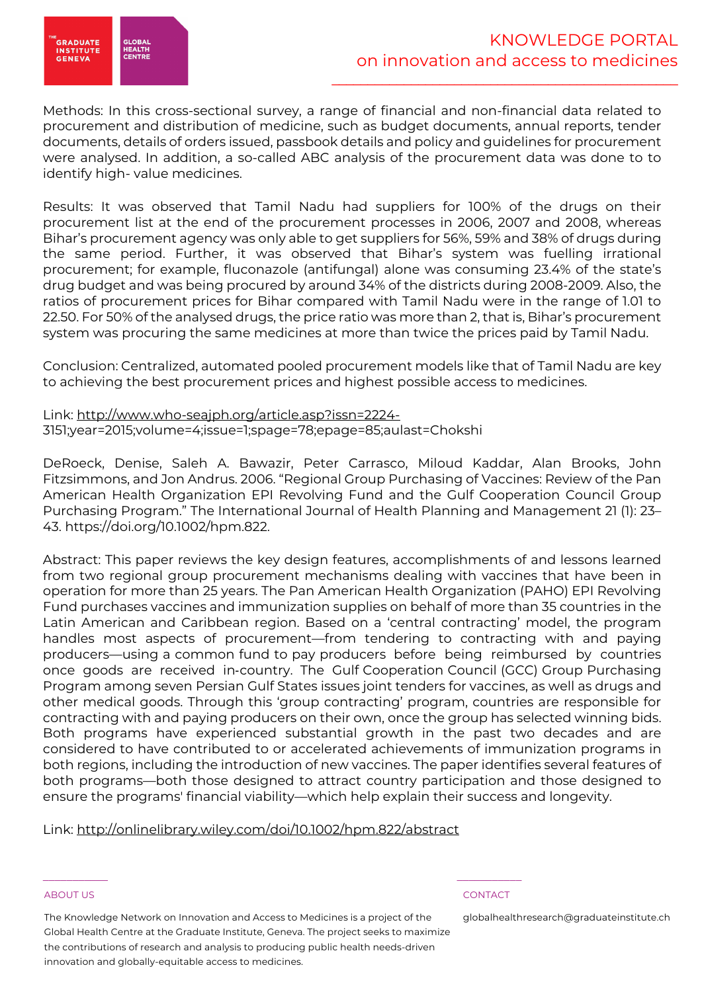

Methods: In this cross-sectional survey, a range of financial and non-financial data related to procurement and distribution of medicine, such as budget documents, annual reports, tender documents, details of orders issued, passbook details and policy and guidelines for procurement were analysed. In addition, a so-called ABC analysis of the procurement data was done to to identify high- value medicines.

Results: It was observed that Tamil Nadu had suppliers for 100% of the drugs on their procurement list at the end of the procurement processes in 2006, 2007 and 2008, whereas Bihar's procurement agency was only able to get suppliers for 56%, 59% and 38% of drugs during the same period. Further, it was observed that Bihar's system was fuelling irrational procurement; for example, fluconazole (antifungal) alone was consuming 23.4% of the state's drug budget and was being procured by around 34% of the districts during 2008-2009. Also, the ratios of procurement prices for Bihar compared with Tamil Nadu were in the range of 1.01 to 22.50. For 50% of the analysed drugs, the price ratio was more than 2, that is, Bihar's procurement system was procuring the same medicines at more than twice the prices paid by Tamil Nadu.

Conclusion: Centralized, automated pooled procurement models like that of Tamil Nadu are key to achieving the best procurement prices and highest possible access to medicines.

Link: http://www.who-seajph.org/article.asp?issn=2224- 3151;year=2015;volume=4;issue=1;spage=78;epage=85;aulast=Chokshi

DeRoeck, Denise, Saleh A. Bawazir, Peter Carrasco, Miloud Kaddar, Alan Brooks, John Fitzsimmons, and Jon Andrus. 2006. "Regional Group Purchasing of Vaccines: Review of the Pan American Health Organization EPI Revolving Fund and the Gulf Cooperation Council Group Purchasing Program." The International Journal of Health Planning and Management 21 (1): 23– 43. https://doi.org/10.1002/hpm.822.

Abstract: This paper reviews the key design features, accomplishments of and lessons learned from two regional group procurement mechanisms dealing with vaccines that have been in operation for more than 25 years. The Pan American Health Organization (PAHO) EPI Revolving Fund purchases vaccines and immunization supplies on behalf of more than 35 countries in the Latin American and Caribbean region. Based on a 'central contracting' model, the program handles most aspects of procurement—from tendering to contracting with and paying producers—using a common fund to pay producers before being reimbursed by countries once goods are received in-country. The Gulf Cooperation Council (GCC) Group Purchasing Program among seven Persian Gulf States issues joint tenders for vaccines, as well as drugs and other medical goods. Through this 'group contracting' program, countries are responsible for contracting with and paying producers on their own, once the group has selected winning bids. Both programs have experienced substantial growth in the past two decades and are considered to have contributed to or accelerated achievements of immunization programs in both regions, including the introduction of new vaccines. The paper identifies several features of both programs—both those designed to attract country participation and those designed to ensure the programs' financial viability—which help explain their success and longevity.

Link: http://onlinelibrary.wiley.com/doi/10.1002/hpm.822/abstract

 $\frac{1}{2}$  , and the set of the set of the set of the set of the set of the set of the set of the set of the set of the set of the set of the set of the set of the set of the set of the set of the set of the set of the set

### ABOUT US CONTACT AND RESERVE THE RELEASE OF THE RELEASE OF THE RELEASE OF THE RELEASE OF THE RELEASE OF THE RELEASE OF THE RELEASE OF THE RELEASE OF THE RELEASE OF THE RELEASE OF THE RELEASE OF THE RELEASE OF THE RELEASE O

### The Knowledge Network on Innovation and Access to Medicines is a project of the Global Health Centre at the Graduate Institute, Geneva. The project seeks to maximize the contributions of research and analysis to producing public health needs-driven innovation and globally-equitable access to medicines.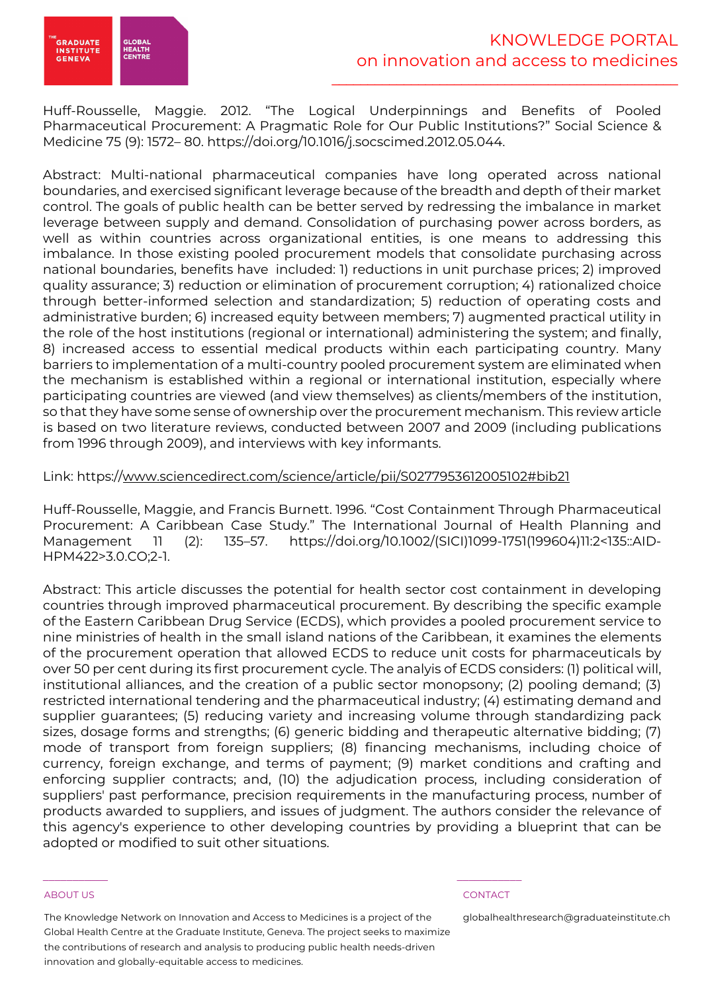

Huff-Rousselle, Maggie. 2012. "The Logical Underpinnings and Benefits of Pooled Pharmaceutical Procurement: A Pragmatic Role for Our Public Institutions?" Social Science & Medicine 75 (9): 1572– 80. https://doi.org/10.1016/j.socscimed.2012.05.044.

Abstract: Multi-national pharmaceutical companies have long operated across national boundaries, and exercised significant leverage because of the breadth and depth of their market control. The goals of public health can be better served by redressing the imbalance in market leverage between supply and demand. Consolidation of purchasing power across borders, as well as within countries across organizational entities, is one means to addressing this imbalance. In those existing pooled procurement models that consolidate purchasing across national boundaries, benefits have included: 1) reductions in unit purchase prices; 2) improved quality assurance; 3) reduction or elimination of procurement corruption; 4) rationalized choice through better-informed selection and standardization; 5) reduction of operating costs and administrative burden; 6) increased equity between members; 7) augmented practical utility in the role of the host institutions (regional or international) administering the system; and finally, 8) increased access to essential medical products within each participating country. Many barriers to implementation of a multi-country pooled procurement system are eliminated when the mechanism is established within a regional or international institution, especially where participating countries are viewed (and view themselves) as clients/members of the institution, so that they have some sense of ownership over the procurement mechanism. This review article is based on two literature reviews, conducted between 2007 and 2009 (including publications from 1996 through 2009), and interviews with key informants.

# Link: https://www.sciencedirect.com/science/article/pii/S0277953612005102#bib21

Huff-Rousselle, Maggie, and Francis Burnett. 1996. "Cost Containment Through Pharmaceutical Procurement: A Caribbean Case Study." The International Journal of Health Planning and Management 11 (2): 135–57. https://doi.org/10.1002/(SICI)1099-1751(199604)11:2<135::AID-HPM422>3.0.CO;2-1.

Abstract: This article discusses the potential for health sector cost containment in developing countries through improved pharmaceutical procurement. By describing the specific example of the Eastern Caribbean Drug Service (ECDS), which provides a pooled procurement service to nine ministries of health in the small island nations of the Caribbean, it examines the elements of the procurement operation that allowed ECDS to reduce unit costs for pharmaceuticals by over 50 per cent during its first procurement cycle. The analyis of ECDS considers: (1) political will, institutional alliances, and the creation of a public sector monopsony; (2) pooling demand; (3) restricted international tendering and the pharmaceutical industry; (4) estimating demand and supplier guarantees; (5) reducing variety and increasing volume through standardizing pack sizes, dosage forms and strengths; (6) generic bidding and therapeutic alternative bidding; (7) mode of transport from foreign suppliers; (8) financing mechanisms, including choice of currency, foreign exchange, and terms of payment; (9) market conditions and crafting and enforcing supplier contracts; and, (10) the adjudication process, including consideration of suppliers' past performance, precision requirements in the manufacturing process, number of products awarded to suppliers, and issues of judgment. The authors consider the relevance of this agency's experience to other developing countries by providing a blueprint that can be adopted or modified to suit other situations.

### ABOUT US CONTACT AND RESERVE THE RELEASE OF THE RELEASE OF THE RELEASE OF THE RELEASE OF THE RELEASE OF THE RELEASE OF THE RELEASE OF THE RELEASE OF THE RELEASE OF THE RELEASE OF THE RELEASE OF THE RELEASE OF THE RELEASE O

The Knowledge Network on Innovation and Access to Medicines is a project of the Global Health Centre at the Graduate Institute, Geneva. The project seeks to maximize the contributions of research and analysis to producing public health needs-driven innovation and globally-equitable access to medicines.

 $\frac{1}{2}$  , and the set of the set of the set of the set of the set of the set of the set of the set of the set of the set of the set of the set of the set of the set of the set of the set of the set of the set of the set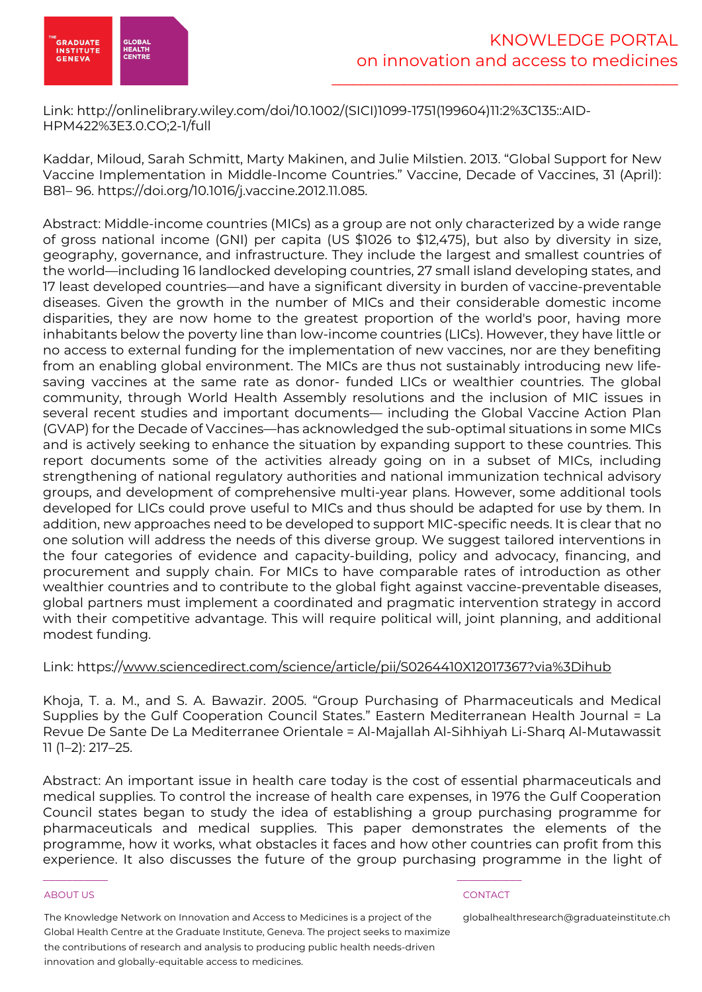

Link: http://onlinelibrary.wiley.com/doi/10.1002/(SICI)1099-1751(199604)11:2%3C135::AID-HPM422%3E3.0.CO;2-1/full

Kaddar, Miloud, Sarah Schmitt, Marty Makinen, and Julie Milstien. 2013. "Global Support for New Vaccine Implementation in Middle-Income Countries." Vaccine, Decade of Vaccines, 31 (April): B81– 96. https://doi.org/10.1016/j.vaccine.2012.11.085.

Abstract: Middle-income countries (MICs) as a group are not only characterized by a wide range of gross national income (GNI) per capita (US \$1026 to \$12,475), but also by diversity in size, geography, governance, and infrastructure. They include the largest and smallest countries of the world—including 16 landlocked developing countries, 27 small island developing states, and 17 least developed countries—and have a significant diversity in burden of vaccine-preventable diseases. Given the growth in the number of MICs and their considerable domestic income disparities, they are now home to the greatest proportion of the world's poor, having more inhabitants below the poverty line than low-income countries (LICs). However, they have little or no access to external funding for the implementation of new vaccines, nor are they benefiting from an enabling global environment. The MICs are thus not sustainably introducing new lifesaving vaccines at the same rate as donor- funded LICs or wealthier countries. The global community, through World Health Assembly resolutions and the inclusion of MIC issues in several recent studies and important documents— including the Global Vaccine Action Plan (GVAP) for the Decade of Vaccines—has acknowledged the sub-optimal situations in some MICs and is actively seeking to enhance the situation by expanding support to these countries. This report documents some of the activities already going on in a subset of MICs, including strengthening of national regulatory authorities and national immunization technical advisory groups, and development of comprehensive multi-year plans. However, some additional tools developed for LICs could prove useful to MICs and thus should be adapted for use by them. In addition, new approaches need to be developed to support MIC-specific needs. It is clear that no one solution will address the needs of this diverse group. We suggest tailored interventions in the four categories of evidence and capacity-building, policy and advocacy, financing, and procurement and supply chain. For MICs to have comparable rates of introduction as other wealthier countries and to contribute to the global fight against vaccine-preventable diseases, global partners must implement a coordinated and pragmatic intervention strategy in accord with their competitive advantage. This will require political will, joint planning, and additional modest funding.

# Link: https://www.sciencedirect.com/science/article/pii/S0264410X12017367?via%3Dihub

Khoja, T. a. M., and S. A. Bawazir. 2005. "Group Purchasing of Pharmaceuticals and Medical Supplies by the Gulf Cooperation Council States." Eastern Mediterranean Health Journal = La Revue De Sante De La Mediterranee Orientale = Al-Majallah Al-Sihhiyah Li-Sharq Al-Mutawassit 11 (1–2): 217–25.

Abstract: An important issue in health care today is the cost of essential pharmaceuticals and medical supplies. To control the increase of health care expenses, in 1976 the Gulf Cooperation Council states began to study the idea of establishing a group purchasing programme for pharmaceuticals and medical supplies. This paper demonstrates the elements of the programme, how it works, what obstacles it faces and how other countries can profit from this experience. It also discusses the future of the group purchasing programme in the light of

### ABOUT US CONTACT AND RESERVE THE RELEASE OF THE RELEASE OF THE RELEASE OF THE RELEASE OF THE RELEASE OF THE RELEASE OF THE RELEASE OF THE RELEASE OF THE RELEASE OF THE RELEASE OF THE RELEASE OF THE RELEASE OF THE RELEASE O

.<br>GRADUATE<br>INSTITUTE

GENEVA

HEALTH<br>CENTRI

The Knowledge Network on Innovation and Access to Medicines is a project of the Global Health Centre at the Graduate Institute, Geneva. The project seeks to maximize the contributions of research and analysis to producing public health needs-driven innovation and globally-equitable access to medicines.

 $\frac{1}{2}$  , and the set of the set of the set of the set of the set of the set of the set of the set of the set of the set of the set of the set of the set of the set of the set of the set of the set of the set of the set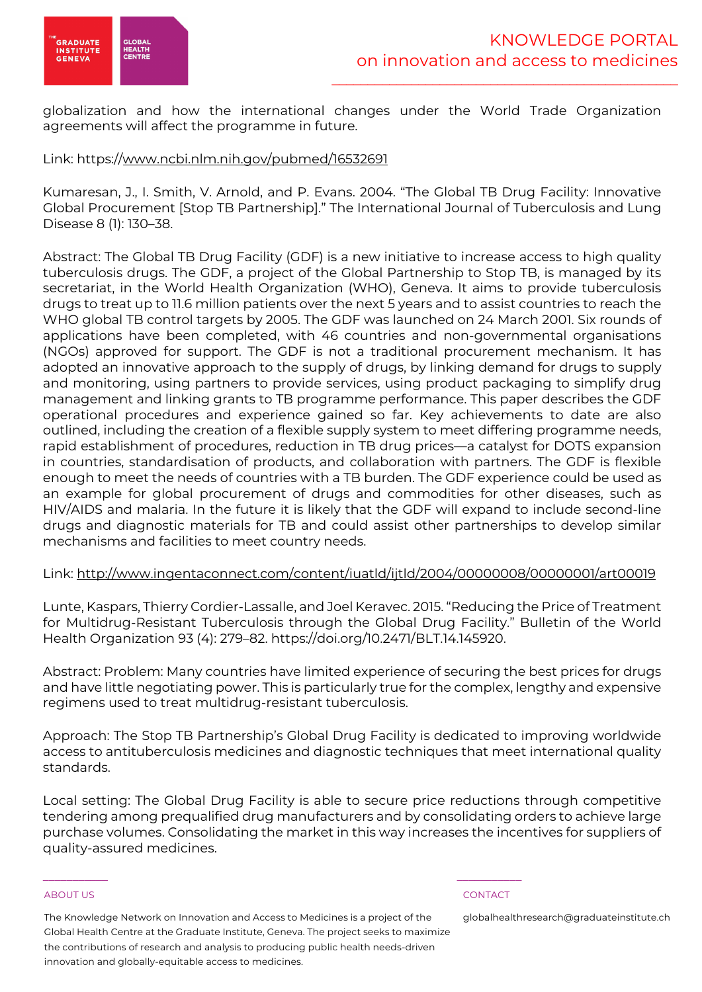

globalization and how the international changes under the World Trade Organization agreements will affect the programme in future.

# Link: https://www.ncbi.nlm.nih.gov/pubmed/16532691

Kumaresan, J., I. Smith, V. Arnold, and P. Evans. 2004. "The Global TB Drug Facility: Innovative Global Procurement [Stop TB Partnership]." The International Journal of Tuberculosis and Lung Disease 8 (1): 130–38.

Abstract: The Global TB Drug Facility (GDF) is a new initiative to increase access to high quality tuberculosis drugs. The GDF, a project of the Global Partnership to Stop TB, is managed by its secretariat, in the World Health Organization (WHO), Geneva. It aims to provide tuberculosis drugs to treat up to 11.6 million patients over the next 5 years and to assist countries to reach the WHO global TB control targets by 2005. The GDF was launched on 24 March 2001. Six rounds of applications have been completed, with 46 countries and non-governmental organisations (NGOs) approved for support. The GDF is not a traditional procurement mechanism. It has adopted an innovative approach to the supply of drugs, by linking demand for drugs to supply and monitoring, using partners to provide services, using product packaging to simplify drug management and linking grants to TB programme performance. This paper describes the GDF operational procedures and experience gained so far. Key achievements to date are also outlined, including the creation of a flexible supply system to meet differing programme needs, rapid establishment of procedures, reduction in TB drug prices—a catalyst for DOTS expansion in countries, standardisation of products, and collaboration with partners. The GDF is flexible enough to meet the needs of countries with a TB burden. The GDF experience could be used as an example for global procurement of drugs and commodities for other diseases, such as HIV/AIDS and malaria. In the future it is likely that the GDF will expand to include second-line drugs and diagnostic materials for TB and could assist other partnerships to develop similar mechanisms and facilities to meet country needs.

# Link: http://www.ingentaconnect.com/content/iuatld/ijtld/2004/00000008/00000001/art00019

Lunte, Kaspars, Thierry Cordier-Lassalle, and Joel Keravec. 2015. "Reducing the Price of Treatment for Multidrug-Resistant Tuberculosis through the Global Drug Facility." Bulletin of the World Health Organization 93 (4): 279–82. https://doi.org/10.2471/BLT.14.145920.

Abstract: Problem: Many countries have limited experience of securing the best prices for drugs and have little negotiating power. This is particularly true for the complex, lengthy and expensive regimens used to treat multidrug-resistant tuberculosis.

Approach: The Stop TB Partnership's Global Drug Facility is dedicated to improving worldwide access to antituberculosis medicines and diagnostic techniques that meet international quality standards.

Local setting: The Global Drug Facility is able to secure price reductions through competitive tendering among prequalified drug manufacturers and by consolidating orders to achieve large purchase volumes. Consolidating the market in this way increases the incentives for suppliers of quality-assured medicines.

### ABOUT US CONTACT AND RESERVE THE RELEASE OF THE RELEASE OF THE RELEASE OF THE RELEASE OF THE RELEASE OF THE RELEASE OF THE RELEASE OF THE RELEASE OF THE RELEASE OF THE RELEASE OF THE RELEASE OF THE RELEASE OF THE RELEASE O

The Knowledge Network on Innovation and Access to Medicines is a project of the Global Health Centre at the Graduate Institute, Geneva. The project seeks to maximize the contributions of research and analysis to producing public health needs-driven innovation and globally-equitable access to medicines.

 $\frac{1}{2}$  , and the set of the set of the set of the set of the set of the set of the set of the set of the set of the set of the set of the set of the set of the set of the set of the set of the set of the set of the set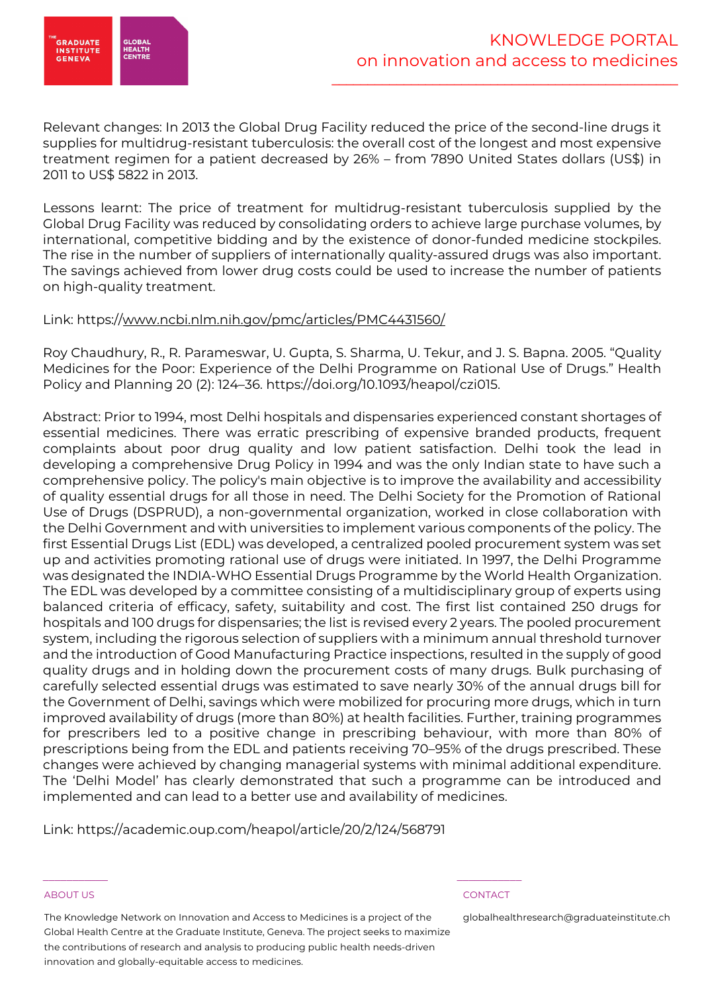

Relevant changes: In 2013 the Global Drug Facility reduced the price of the second-line drugs it supplies for multidrug-resistant tuberculosis: the overall cost of the longest and most expensive treatment regimen for a patient decreased by 26% – from 7890 United States dollars (US\$) in 2011 to US\$ 5822 in 2013.

Lessons learnt: The price of treatment for multidrug-resistant tuberculosis supplied by the Global Drug Facility was reduced by consolidating orders to achieve large purchase volumes, by international, competitive bidding and by the existence of donor-funded medicine stockpiles. The rise in the number of suppliers of internationally quality-assured drugs was also important. The savings achieved from lower drug costs could be used to increase the number of patients on high-quality treatment.

# Link: https://www.ncbi.nlm.nih.gov/pmc/articles/PMC4431560/

Roy Chaudhury, R., R. Parameswar, U. Gupta, S. Sharma, U. Tekur, and J. S. Bapna. 2005. "Quality Medicines for the Poor: Experience of the Delhi Programme on Rational Use of Drugs." Health Policy and Planning 20 (2): 124–36. https://doi.org/10.1093/heapol/czi015.

Abstract: Prior to 1994, most Delhi hospitals and dispensaries experienced constant shortages of essential medicines. There was erratic prescribing of expensive branded products, frequent complaints about poor drug quality and low patient satisfaction. Delhi took the lead in developing a comprehensive Drug Policy in 1994 and was the only Indian state to have such a comprehensive policy. The policy's main objective is to improve the availability and accessibility of quality essential drugs for all those in need. The Delhi Society for the Promotion of Rational Use of Drugs (DSPRUD), a non-governmental organization, worked in close collaboration with the Delhi Government and with universities to implement various components of the policy. The first Essential Drugs List (EDL) was developed, a centralized pooled procurement system was set up and activities promoting rational use of drugs were initiated. In 1997, the Delhi Programme was designated the INDIA-WHO Essential Drugs Programme by the World Health Organization. The EDL was developed by a committee consisting of a multidisciplinary group of experts using balanced criteria of efficacy, safety, suitability and cost. The first list contained 250 drugs for hospitals and 100 drugs for dispensaries; the list is revised every 2 years. The pooled procurement system, including the rigorous selection of suppliers with a minimum annual threshold turnover and the introduction of Good Manufacturing Practice inspections, resulted in the supply of good quality drugs and in holding down the procurement costs of many drugs. Bulk purchasing of carefully selected essential drugs was estimated to save nearly 30% of the annual drugs bill for the Government of Delhi, savings which were mobilized for procuring more drugs, which in turn improved availability of drugs (more than 80%) at health facilities. Further, training programmes for prescribers led to a positive change in prescribing behaviour, with more than 80% of prescriptions being from the EDL and patients receiving 70–95% of the drugs prescribed. These changes were achieved by changing managerial systems with minimal additional expenditure. The 'Delhi Model' has clearly demonstrated that such a programme can be introduced and implemented and can lead to a better use and availability of medicines.

Link: https://academic.oup.com/heapol/article/20/2/124/568791

### ABOUT US CONTACT AND RESERVE THE RELEASE OF THE RELEASE OF THE RELEASE OF THE RELEASE OF THE RELEASE OF THE RELEASE OF THE RELEASE OF THE RELEASE OF THE RELEASE OF THE RELEASE OF THE RELEASE OF THE RELEASE OF THE RELEASE O

The Knowledge Network on Innovation and Access to Medicines is a project of the Global Health Centre at the Graduate Institute, Geneva. The project seeks to maximize the contributions of research and analysis to producing public health needs-driven innovation and globally-equitable access to medicines.

 $\frac{1}{2}$  , and the set of the set of the set of the set of the set of the set of the set of the set of the set of the set of the set of the set of the set of the set of the set of the set of the set of the set of the set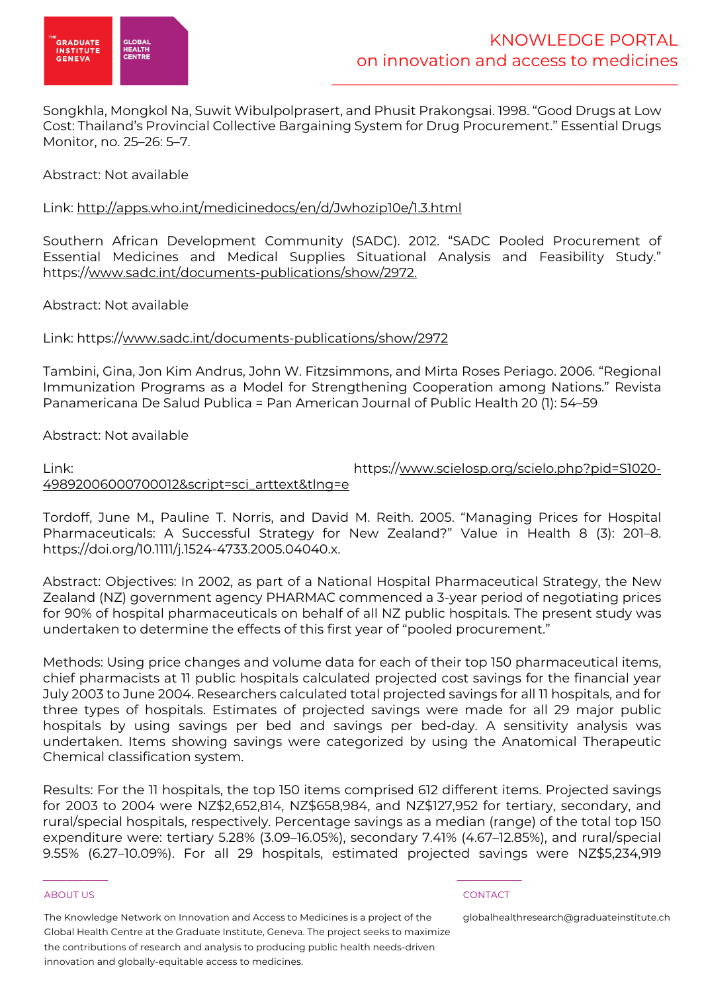

Songkhla, Mongkol Na, Suwit Wibulpolprasert, and Phusit Prakongsai. 1998. "Good Drugs at Low Cost: Thailand's Provincial Collective Bargaining System for Drug Procurement." Essential Drugs Monitor, no. 25–26: 5–7.

Abstract: Not available

Link: http://apps.who.int/medicinedocs/en/d/Jwhozip10e/1.3.html

Southern African Development Community (SADC). 2012. "SADC Pooled Procurement of Essential Medicines and Medical Supplies Situational Analysis and Feasibility Study." https://www.sadc.int/documents-publications/show/2972.

Abstract: Not available

Link: https://www.sadc.int/documents-publications/show/2972

Tambini, Gina, Jon Kim Andrus, John W. Fitzsimmons, and Mirta Roses Periago. 2006. "Regional Immunization Programs as a Model for Strengthening Cooperation among Nations." Revista Panamericana De Salud Publica = Pan American Journal of Public Health 20 (1): 54–59

Abstract: Not available

Link: https://www.scielosp.org/scielo.php?pid=S1020-

49892006000700012&script=sci\_arttext&tlng=e

Tordoff, June M., Pauline T. Norris, and David M. Reith. 2005. "Managing Prices for Hospital Pharmaceuticals: A Successful Strategy for New Zealand?" Value in Health 8 (3): 201–8. https://doi.org/10.1111/j.1524-4733.2005.04040.x.

Abstract: Objectives: In 2002, as part of a National Hospital Pharmaceutical Strategy, the New Zealand (NZ) government agency PHARMAC commenced a 3-year period of negotiating prices for 90% of hospital pharmaceuticals on behalf of all NZ public hospitals. The present study was undertaken to determine the effects of this first year of "pooled procurement."

Methods: Using price changes and volume data for each of their top 150 pharmaceutical items, chief pharmacists at 11 public hospitals calculated projected cost savings for the financial year July 2003 to June 2004. Researchers calculated total projected savings for all 11 hospitals, and for three types of hospitals. Estimates of projected savings were made for all 29 major public hospitals by using savings per bed and savings per bed-day. A sensitivity analysis was undertaken. Items showing savings were categorized by using the Anatomical Therapeutic Chemical classification system.

Results: For the 11 hospitals, the top 150 items comprised 612 different items. Projected savings for 2003 to 2004 were NZ\$2,652,814, NZ\$658,984, and NZ\$127,952 for tertiary, secondary, and rural/special hospitals, respectively. Percentage savings as a median (range) of the total top 150 expenditure were: tertiary 5.28% (3.09–16.05%), secondary 7.41% (4.67–12.85%), and rural/special 9.55% (6.27–10.09%). For all 29 hospitals, estimated projected savings were NZ\$5,234,919

### ABOUT US CONTACT AND RESERVE THE RELEASE OF THE RELEASE OF THE RELEASE OF THE RELEASE OF THE RELEASE OF THE RELEASE OF THE RELEASE OF THE RELEASE OF THE RELEASE OF THE RELEASE OF THE RELEASE OF THE RELEASE OF THE RELEASE O

The Knowledge Network on Innovation and Access to Medicines is a project of the Global Health Centre at the Graduate Institute, Geneva. The project seeks to maximize the contributions of research and analysis to producing public health needs-driven innovation and globally-equitable access to medicines.

 $\frac{1}{2}$  , and the set of the set of the set of the set of the set of the set of the set of the set of the set of the set of the set of the set of the set of the set of the set of the set of the set of the set of the set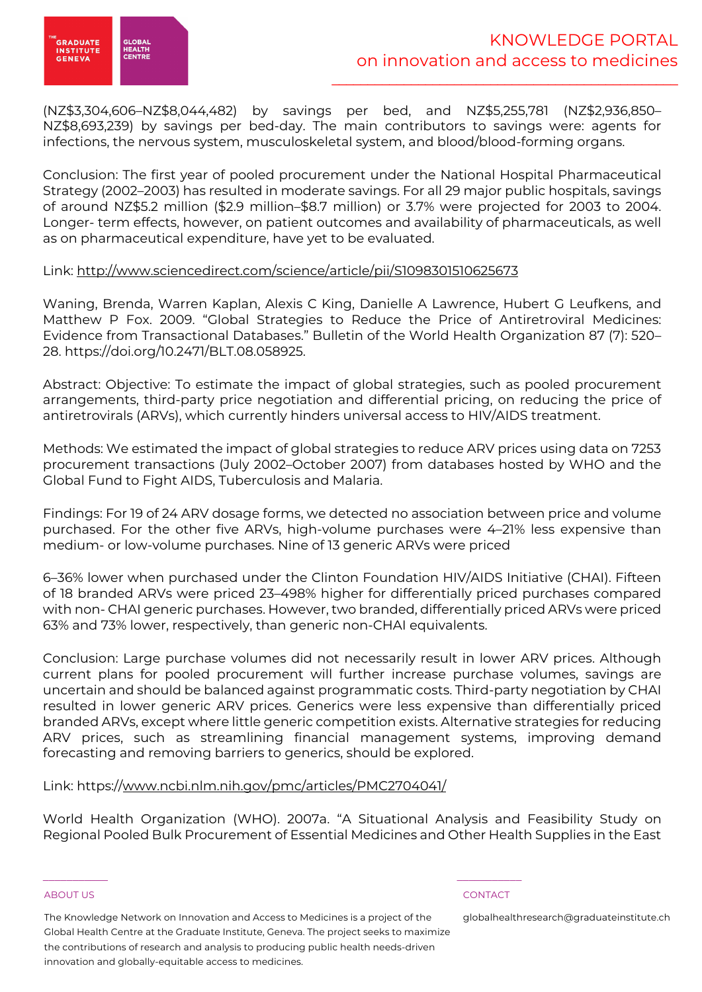

(NZ\$3,304,606–NZ\$8,044,482) by savings per bed, and NZ\$5,255,781 (NZ\$2,936,850– NZ\$8,693,239) by savings per bed-day. The main contributors to savings were: agents for infections, the nervous system, musculoskeletal system, and blood/blood-forming organs.

Conclusion: The first year of pooled procurement under the National Hospital Pharmaceutical Strategy (2002–2003) has resulted in moderate savings. For all 29 major public hospitals, savings of around NZ\$5.2 million (\$2.9 million–\$8.7 million) or 3.7% were projected for 2003 to 2004. Longer- term effects, however, on patient outcomes and availability of pharmaceuticals, as well as on pharmaceutical expenditure, have yet to be evaluated.

# Link: http://www.sciencedirect.com/science/article/pii/S1098301510625673

Waning, Brenda, Warren Kaplan, Alexis C King, Danielle A Lawrence, Hubert G Leufkens, and Matthew P Fox. 2009. "Global Strategies to Reduce the Price of Antiretroviral Medicines: Evidence from Transactional Databases." Bulletin of the World Health Organization 87 (7): 520– 28. https://doi.org/10.2471/BLT.08.058925.

Abstract: Objective: To estimate the impact of global strategies, such as pooled procurement arrangements, third-party price negotiation and differential pricing, on reducing the price of antiretrovirals (ARVs), which currently hinders universal access to HIV/AIDS treatment.

Methods: We estimated the impact of global strategies to reduce ARV prices using data on 7253 procurement transactions (July 2002–October 2007) from databases hosted by WHO and the Global Fund to Fight AIDS, Tuberculosis and Malaria.

Findings: For 19 of 24 ARV dosage forms, we detected no association between price and volume purchased. For the other five ARVs, high-volume purchases were 4–21% less expensive than medium- or low-volume purchases. Nine of 13 generic ARVs were priced

6–36% lower when purchased under the Clinton Foundation HIV/AIDS Initiative (CHAI). Fifteen of 18 branded ARVs were priced 23–498% higher for differentially priced purchases compared with non- CHAI generic purchases. However, two branded, differentially priced ARVs were priced 63% and 73% lower, respectively, than generic non-CHAI equivalents.

Conclusion: Large purchase volumes did not necessarily result in lower ARV prices. Although current plans for pooled procurement will further increase purchase volumes, savings are uncertain and should be balanced against programmatic costs. Third-party negotiation by CHAI resulted in lower generic ARV prices. Generics were less expensive than differentially priced branded ARVs, except where little generic competition exists. Alternative strategies for reducing ARV prices, such as streamlining financial management systems, improving demand forecasting and removing barriers to generics, should be explored.

Link: https://www.ncbi.nlm.nih.gov/pmc/articles/PMC2704041/

World Health Organization (WHO). 2007a. "A Situational Analysis and Feasibility Study on Regional Pooled Bulk Procurement of Essential Medicines and Other Health Supplies in the East

### ABOUT US CONTACT AND RESERVE THE RELEASE OF THE RELEASE OF THE RELEASE OF THE RELEASE OF THE RELEASE OF THE RELEASE OF THE RELEASE OF THE RELEASE OF THE RELEASE OF THE RELEASE OF THE RELEASE OF THE RELEASE OF THE RELEASE O

The Knowledge Network on Innovation and Access to Medicines is a project of the Global Health Centre at the Graduate Institute, Geneva. The project seeks to maximize the contributions of research and analysis to producing public health needs-driven innovation and globally-equitable access to medicines.

 $\frac{1}{2}$  , and the set of the set of the set of the set of the set of the set of the set of the set of the set of the set of the set of the set of the set of the set of the set of the set of the set of the set of the set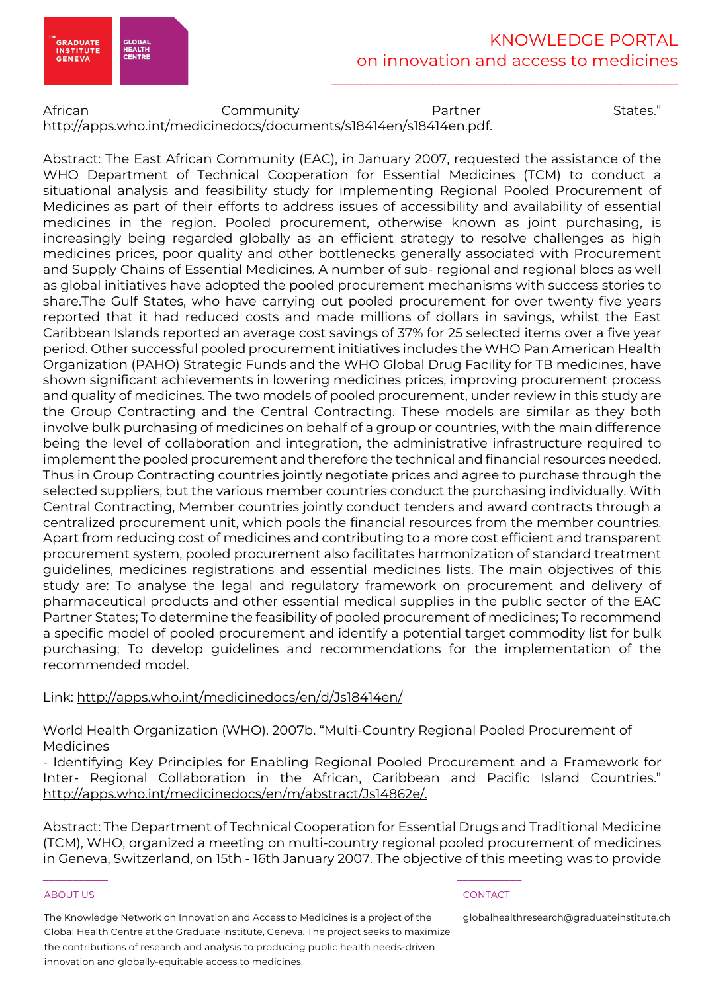

African Community Partner States."

http://apps.who.int/medicinedocs/documents/s18414en/s18414en.pdf.

Abstract: The East African Community (EAC), in January 2007, requested the assistance of the WHO Department of Technical Cooperation for Essential Medicines (TCM) to conduct a situational analysis and feasibility study for implementing Regional Pooled Procurement of Medicines as part of their efforts to address issues of accessibility and availability of essential medicines in the region. Pooled procurement, otherwise known as joint purchasing, is increasingly being regarded globally as an efficient strategy to resolve challenges as high medicines prices, poor quality and other bottlenecks generally associated with Procurement and Supply Chains of Essential Medicines. A number of sub- regional and regional blocs as well as global initiatives have adopted the pooled procurement mechanisms with success stories to share.The Gulf States, who have carrying out pooled procurement for over twenty five years reported that it had reduced costs and made millions of dollars in savings, whilst the East Caribbean Islands reported an average cost savings of 37% for 25 selected items over a five year period. Other successful pooled procurement initiatives includes the WHO Pan American Health Organization (PAHO) Strategic Funds and the WHO Global Drug Facility for TB medicines, have shown significant achievements in lowering medicines prices, improving procurement process and quality of medicines. The two models of pooled procurement, under review in this study are the Group Contracting and the Central Contracting. These models are similar as they both involve bulk purchasing of medicines on behalf of a group or countries, with the main difference being the level of collaboration and integration, the administrative infrastructure required to implement the pooled procurement and therefore the technical and financial resources needed. Thus in Group Contracting countries jointly negotiate prices and agree to purchase through the selected suppliers, but the various member countries conduct the purchasing individually. With Central Contracting, Member countries jointly conduct tenders and award contracts through a centralized procurement unit, which pools the financial resources from the member countries. Apart from reducing cost of medicines and contributing to a more cost efficient and transparent procurement system, pooled procurement also facilitates harmonization of standard treatment guidelines, medicines registrations and essential medicines lists. The main objectives of this study are: To analyse the legal and regulatory framework on procurement and delivery of pharmaceutical products and other essential medical supplies in the public sector of the EAC Partner States; To determine the feasibility of pooled procurement of medicines; To recommend a specific model of pooled procurement and identify a potential target commodity list for bulk purchasing; To develop guidelines and recommendations for the implementation of the recommended model.

# Link: http://apps.who.int/medicinedocs/en/d/Js18414en/

World Health Organization (WHO). 2007b. "Multi-Country Regional Pooled Procurement of Medicines

- Identifying Key Principles for Enabling Regional Pooled Procurement and a Framework for Inter- Regional Collaboration in the African, Caribbean and Pacific Island Countries." http://apps.who.int/medicinedocs/en/m/abstract/Js14862e/.

Abstract: The Department of Technical Cooperation for Essential Drugs and Traditional Medicine (TCM), WHO, organized a meeting on multi-country regional pooled procurement of medicines in Geneva, Switzerland, on 15th - 16th January 2007. The objective of this meeting was to provide

### ABOUT US CONTACT AND RESERVE THE RELEASE OF THE RELEASE OF THE RELEASE OF THE RELEASE OF THE RELEASE OF THE RELEASE OF THE RELEASE OF THE RELEASE OF THE RELEASE OF THE RELEASE OF THE RELEASE OF THE RELEASE OF THE RELEASE O

The Knowledge Network on Innovation and Access to Medicines is a project of the Global Health Centre at the Graduate Institute, Geneva. The project seeks to maximize the contributions of research and analysis to producing public health needs-driven innovation and globally-equitable access to medicines.

 $\frac{1}{2}$  , and the set of the set of the set of the set of the set of the set of the set of the set of the set of the set of the set of the set of the set of the set of the set of the set of the set of the set of the set